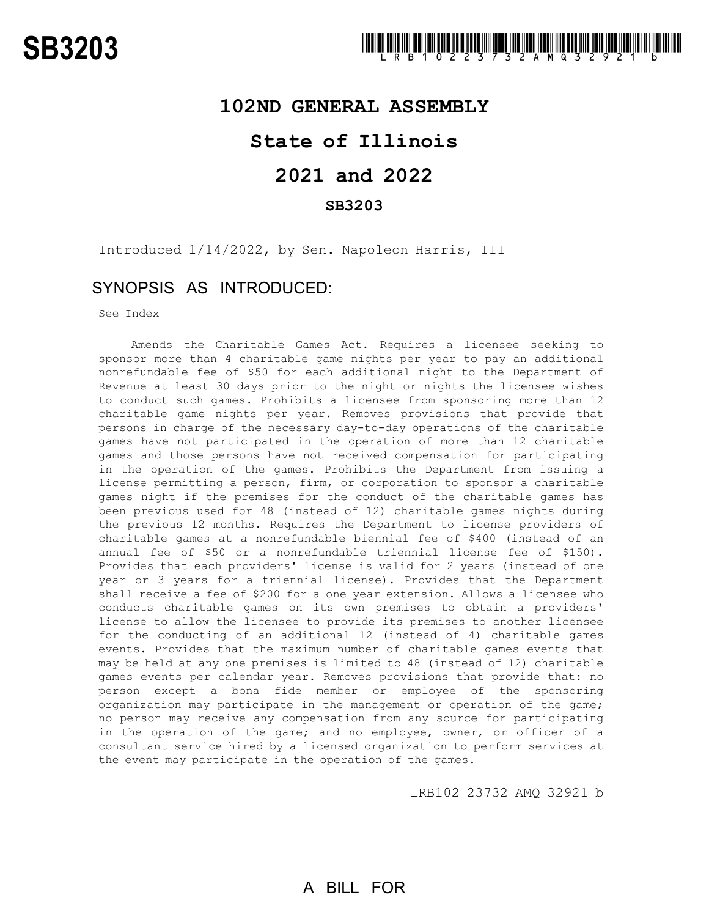### **102ND GENERAL ASSEMBLY**

# **State of Illinois**

# **2021 and 2022**

### **SB3203**

Introduced 1/14/2022, by Sen. Napoleon Harris, III

## SYNOPSIS AS INTRODUCED:

See Index

Amends the Charitable Games Act. Requires a licensee seeking to sponsor more than 4 charitable game nights per year to pay an additional nonrefundable fee of \$50 for each additional night to the Department of Revenue at least 30 days prior to the night or nights the licensee wishes to conduct such games. Prohibits a licensee from sponsoring more than 12 charitable game nights per year. Removes provisions that provide that persons in charge of the necessary day-to-day operations of the charitable games have not participated in the operation of more than 12 charitable games and those persons have not received compensation for participating in the operation of the games. Prohibits the Department from issuing a license permitting a person, firm, or corporation to sponsor a charitable games night if the premises for the conduct of the charitable games has been previous used for 48 (instead of 12) charitable games nights during the previous 12 months. Requires the Department to license providers of charitable games at a nonrefundable biennial fee of \$400 (instead of an annual fee of \$50 or a nonrefundable triennial license fee of \$150). Provides that each providers' license is valid for 2 years (instead of one year or 3 years for a triennial license). Provides that the Department shall receive a fee of \$200 for a one year extension. Allows a licensee who conducts charitable games on its own premises to obtain a providers' license to allow the licensee to provide its premises to another licensee for the conducting of an additional 12 (instead of 4) charitable games events. Provides that the maximum number of charitable games events that may be held at any one premises is limited to 48 (instead of 12) charitable games events per calendar year. Removes provisions that provide that: no person except a bona fide member or employee of the sponsoring organization may participate in the management or operation of the game; no person may receive any compensation from any source for participating in the operation of the game; and no employee, owner, or officer of a consultant service hired by a licensed organization to perform services at the event may participate in the operation of the games.

LRB102 23732 AMQ 32921 b

# A BILL FOR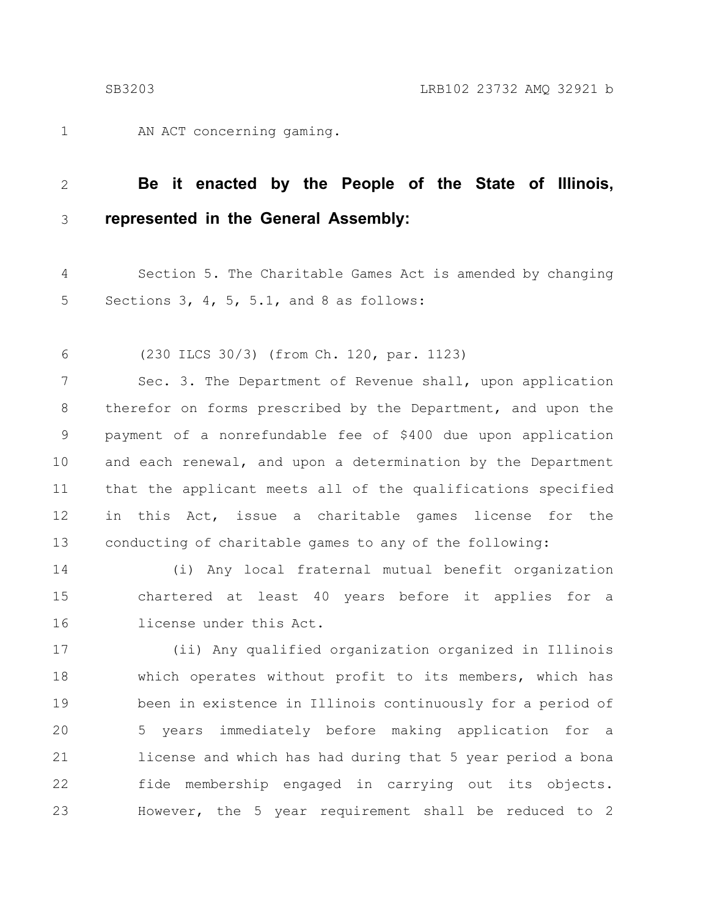AN ACT concerning gaming. 1

#### **Be it enacted by the People of the State of Illinois, represented in the General Assembly:** 2 3

Section 5. The Charitable Games Act is amended by changing Sections 3, 4, 5, 5.1, and 8 as follows: 4 5

(230 ILCS 30/3) (from Ch. 120, par. 1123) 6

Sec. 3. The Department of Revenue shall, upon application therefor on forms prescribed by the Department, and upon the payment of a nonrefundable fee of \$400 due upon application and each renewal, and upon a determination by the Department that the applicant meets all of the qualifications specified in this Act, issue a charitable games license for the conducting of charitable games to any of the following: 7 8 9 10 11 12 13

(i) Any local fraternal mutual benefit organization chartered at least 40 years before it applies for a license under this Act. 14 15 16

(ii) Any qualified organization organized in Illinois which operates without profit to its members, which has been in existence in Illinois continuously for a period of 5 years immediately before making application for a license and which has had during that 5 year period a bona fide membership engaged in carrying out its objects. However, the 5 year requirement shall be reduced to 2 17 18 19 20 21 22 23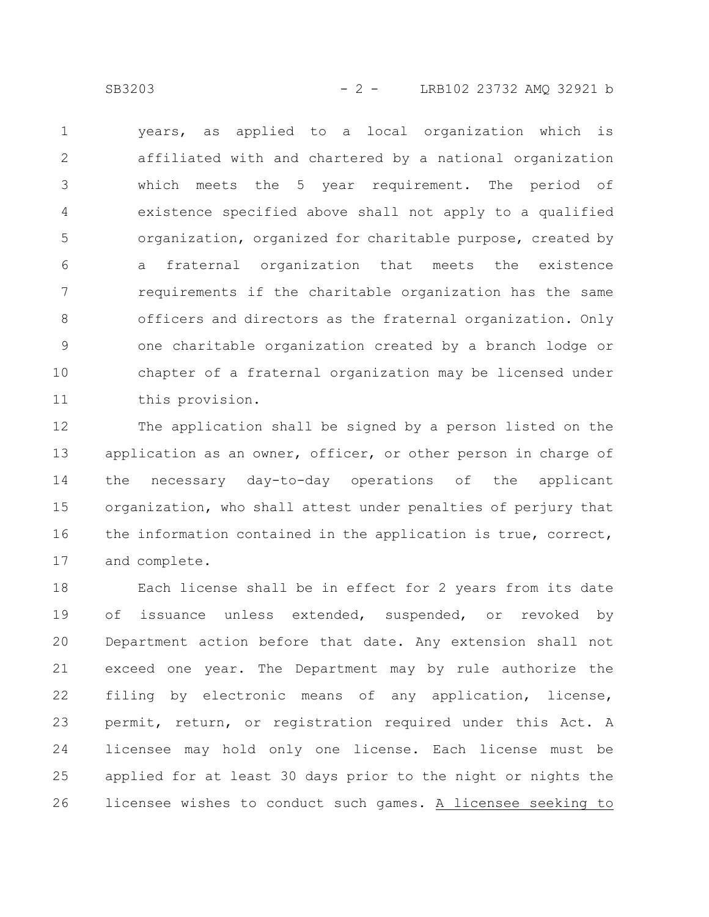SB3203 - 2 - LRB102 23732 AMO 32921 b

years, as applied to a local organization which is affiliated with and chartered by a national organization which meets the 5 year requirement. The period of existence specified above shall not apply to a qualified organization, organized for charitable purpose, created by a fraternal organization that meets the existence requirements if the charitable organization has the same officers and directors as the fraternal organization. Only one charitable organization created by a branch lodge or chapter of a fraternal organization may be licensed under this provision. 1 2 3 4 5 6 7 8 9 10 11

The application shall be signed by a person listed on the application as an owner, officer, or other person in charge of the necessary day-to-day operations of the applicant organization, who shall attest under penalties of perjury that the information contained in the application is true, correct, and complete. 12 13 14 15 16 17

Each license shall be in effect for 2 years from its date of issuance unless extended, suspended, or revoked by Department action before that date. Any extension shall not exceed one year. The Department may by rule authorize the filing by electronic means of any application, license, permit, return, or registration required under this Act. A licensee may hold only one license. Each license must be applied for at least 30 days prior to the night or nights the licensee wishes to conduct such games. A licensee seeking to 18 19 20 21 22 23 24 25 26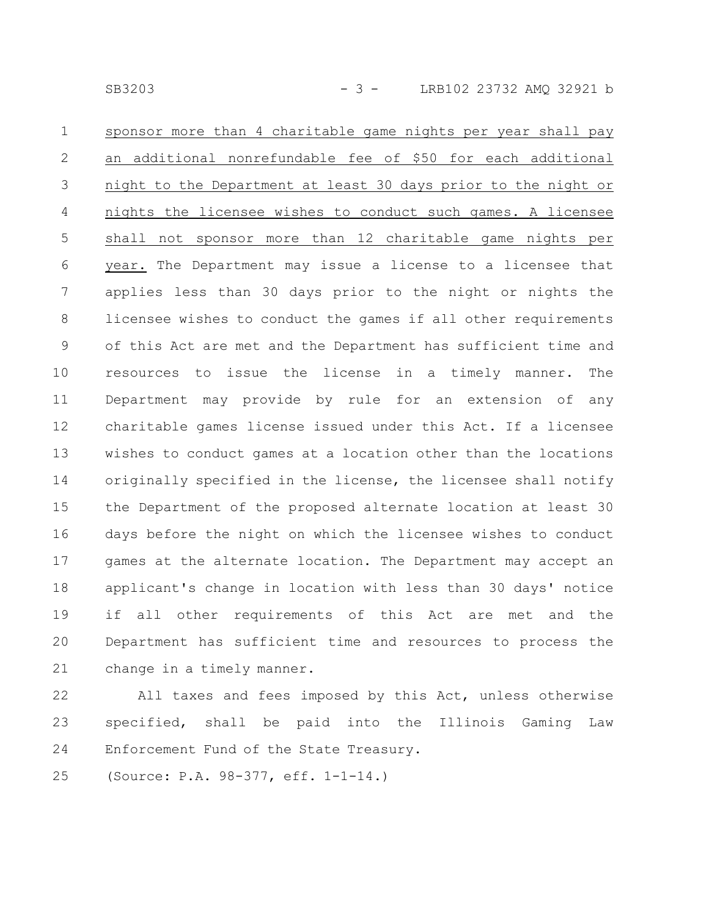sponsor more than 4 charitable game nights per year shall pay an additional nonrefundable fee of \$50 for each additional night to the Department at least 30 days prior to the night or nights the licensee wishes to conduct such games. A licensee shall not sponsor more than 12 charitable game nights per year. The Department may issue a license to a licensee that applies less than 30 days prior to the night or nights the licensee wishes to conduct the games if all other requirements of this Act are met and the Department has sufficient time and resources to issue the license in a timely manner. The Department may provide by rule for an extension of any charitable games license issued under this Act. If a licensee wishes to conduct games at a location other than the locations originally specified in the license, the licensee shall notify the Department of the proposed alternate location at least 30 days before the night on which the licensee wishes to conduct games at the alternate location. The Department may accept an applicant's change in location with less than 30 days' notice if all other requirements of this Act are met and the Department has sufficient time and resources to process the change in a timely manner. 1 2 3 4 5 6 7 8 9 10 11 12 13 14 15 16 17 18 19 20 21

All taxes and fees imposed by this Act, unless otherwise specified, shall be paid into the Illinois Gaming Law Enforcement Fund of the State Treasury. 22 23 24

(Source: P.A. 98-377, eff. 1-1-14.) 25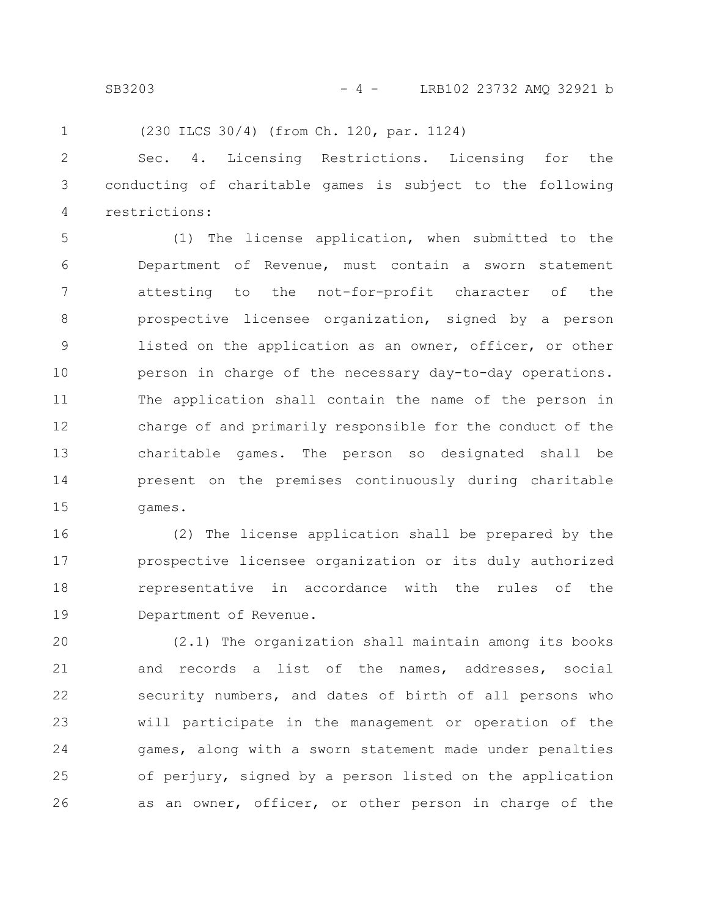SB3203 - 4 - LRB102 23732 AMO 32921 b

(230 ILCS 30/4) (from Ch. 120, par. 1124)

1

Sec. 4. Licensing Restrictions. Licensing for the conducting of charitable games is subject to the following restrictions: 2 3 4

(1) The license application, when submitted to the Department of Revenue, must contain a sworn statement attesting to the not-for-profit character of the prospective licensee organization, signed by a person listed on the application as an owner, officer, or other person in charge of the necessary day-to-day operations. The application shall contain the name of the person in charge of and primarily responsible for the conduct of the charitable games. The person so designated shall be present on the premises continuously during charitable games. 5 6 7 8 9 10 11 12 13 14 15

(2) The license application shall be prepared by the prospective licensee organization or its duly authorized representative in accordance with the rules of the Department of Revenue. 16 17 18 19

(2.1) The organization shall maintain among its books and records a list of the names, addresses, social security numbers, and dates of birth of all persons who will participate in the management or operation of the games, along with a sworn statement made under penalties of perjury, signed by a person listed on the application as an owner, officer, or other person in charge of the 20 21 22 23 24 25 26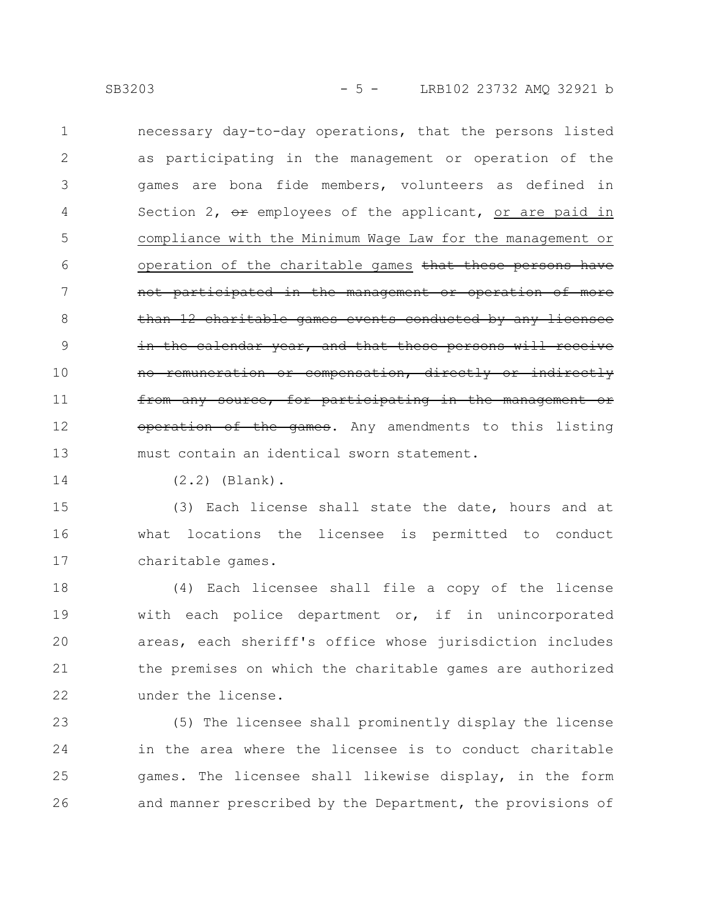necessary day-to-day operations, that the persons listed as participating in the management or operation of the games are bona fide members, volunteers as defined in Section 2,  $e^x$  employees of the applicant, or are paid in compliance with the Minimum Wage Law for the management or operation of the charitable games that these persons have not participated in the management or operation than 12 charitable games events conducted by any licensee the calendar year, and that these persons will receive no remuneration or compensation, directly or indirectly any source, for participating in the management or operation of the games. Any amendments to this listing must contain an identical sworn statement. 1 2 3 4 5 6 7 8 9 10 11 12 13

14

(2.2) (Blank).

(3) Each license shall state the date, hours and at what locations the licensee is permitted to conduct charitable games. 15 16 17

(4) Each licensee shall file a copy of the license with each police department or, if in unincorporated areas, each sheriff's office whose jurisdiction includes the premises on which the charitable games are authorized under the license. 18 19 20 21 22

(5) The licensee shall prominently display the license in the area where the licensee is to conduct charitable games. The licensee shall likewise display, in the form and manner prescribed by the Department, the provisions of 23 24 25 26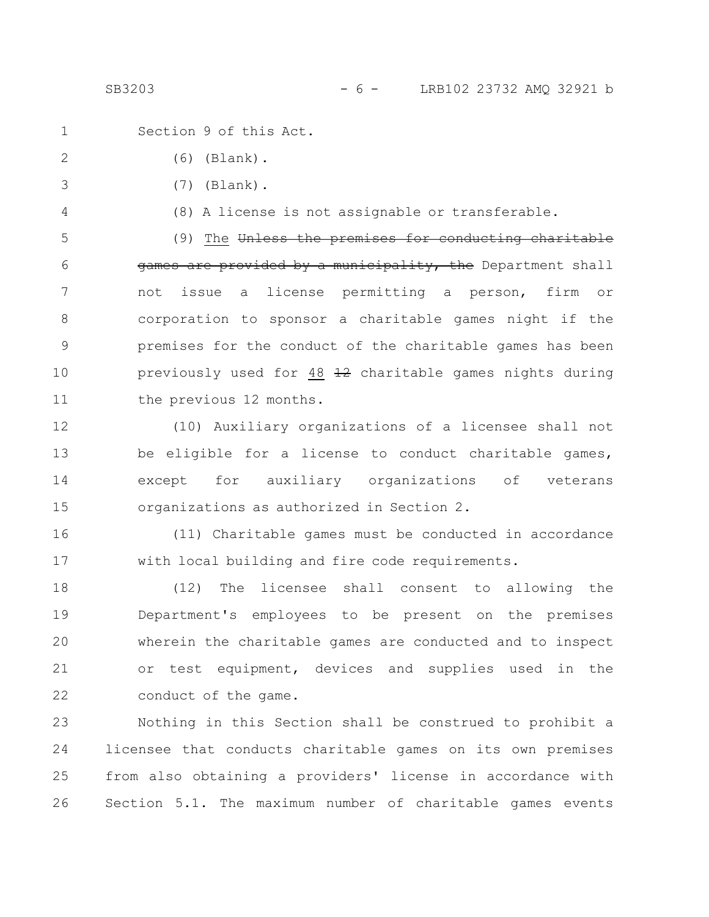SB3203 - 6 - LRB102 23732 AMO 32921 b

Section 9 of this Act. (6) (Blank). (7) (Blank). (8) A license is not assignable or transferable. (9) The Unless the premises for conducting charitable games are provided by a municipality, the Department shall not issue a license permitting a person, firm or corporation to sponsor a charitable games night if the premises for the conduct of the charitable games has been previously used for 48 12 charitable games nights during the previous 12 months. (10) Auxiliary organizations of a licensee shall not be eligible for a license to conduct charitable games, except for auxiliary organizations of veterans organizations as authorized in Section 2. (11) Charitable games must be conducted in accordance with local building and fire code requirements. (12) The licensee shall consent to allowing the 1 2 3 4 5 6 7 8 9 10 11 12 13 14 15 16 17 18

Department's employees to be present on the premises wherein the charitable games are conducted and to inspect or test equipment, devices and supplies used in the conduct of the game. 19 20 21 22

Nothing in this Section shall be construed to prohibit a licensee that conducts charitable games on its own premises from also obtaining a providers' license in accordance with Section 5.1. The maximum number of charitable games events 23 24 25 26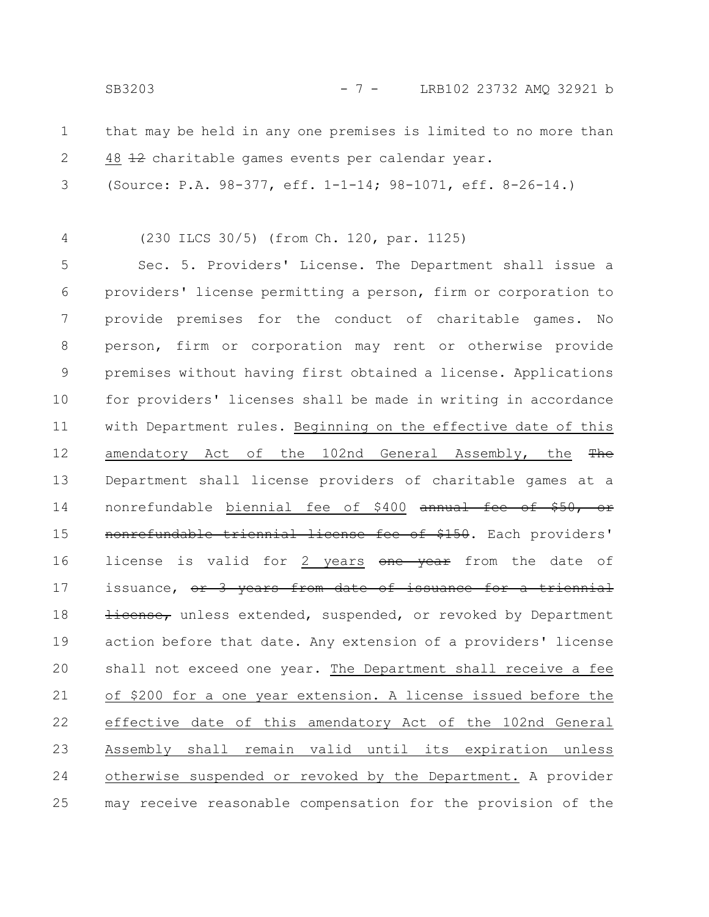SB3203 - 7 - LRB102 23732 AMO 32921 b

- that may be held in any one premises is limited to no more than 48 12 charitable games events per calendar year. 1 2
- (Source: P.A. 98-377, eff. 1-1-14; 98-1071, eff. 8-26-14.) 3

(230 ILCS 30/5) (from Ch. 120, par. 1125)

4

Sec. 5. Providers' License. The Department shall issue a providers' license permitting a person, firm or corporation to provide premises for the conduct of charitable games. No person, firm or corporation may rent or otherwise provide premises without having first obtained a license. Applications for providers' licenses shall be made in writing in accordance with Department rules. Beginning on the effective date of this amendatory Act of the 102nd General Assembly, the  $The$ Department shall license providers of charitable games at a nonrefundable biennial fee of \$400 annual fee of \$50, or nonrefundable triennial license fee of \$150. Each providers' license is valid for 2 years one year from the date of issuance, or 3 years from date of issuance for a triennial Hicense, unless extended, suspended, or revoked by Department action before that date. Any extension of a providers' license shall not exceed one year. The Department shall receive a fee of \$200 for a one year extension. A license issued before the effective date of this amendatory Act of the 102nd General Assembly shall remain valid until its expiration unless otherwise suspended or revoked by the Department. A provider may receive reasonable compensation for the provision of the 5 6 7 8 9 10 11 12 13 14 15 16 17 18 19 20 21 22 23 24 25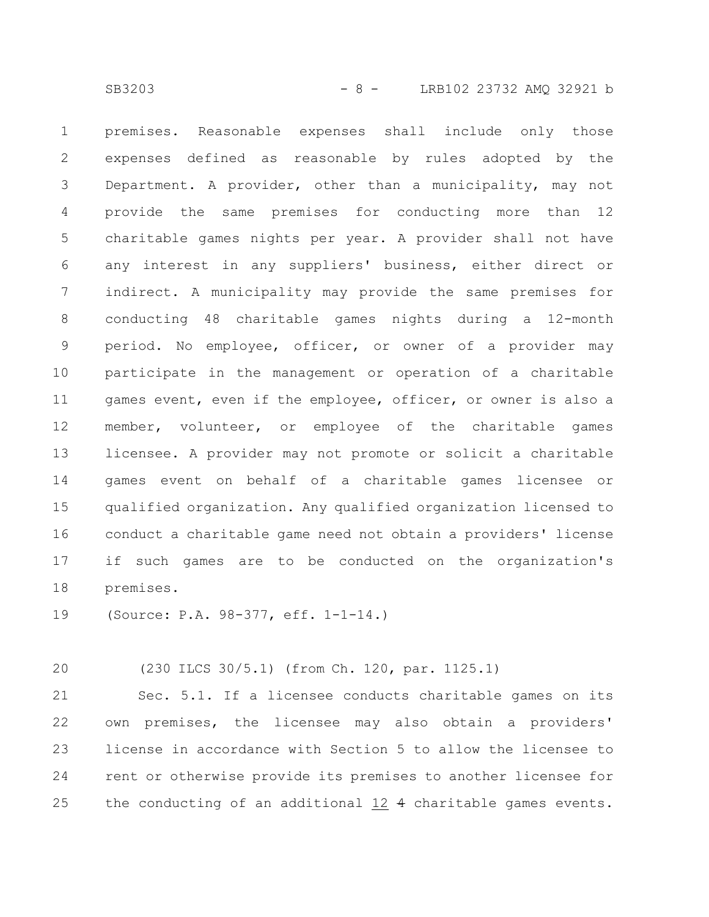premises. Reasonable expenses shall include only those expenses defined as reasonable by rules adopted by the Department. A provider, other than a municipality, may not provide the same premises for conducting more than 12 charitable games nights per year. A provider shall not have any interest in any suppliers' business, either direct or indirect. A municipality may provide the same premises for conducting 48 charitable games nights during a 12-month period. No employee, officer, or owner of a provider may participate in the management or operation of a charitable games event, even if the employee, officer, or owner is also a member, volunteer, or employee of the charitable games licensee. A provider may not promote or solicit a charitable games event on behalf of a charitable games licensee or qualified organization. Any qualified organization licensed to conduct a charitable game need not obtain a providers' license if such games are to be conducted on the organization's premises. 1 2 3 4 5 6 7 8 9 10 11 12 13 14 15 16 17 18

(Source: P.A. 98-377, eff. 1-1-14.) 19

(230 ILCS 30/5.1) (from Ch. 120, par. 1125.1) 20

Sec. 5.1. If a licensee conducts charitable games on its own premises, the licensee may also obtain a providers' license in accordance with Section 5 to allow the licensee to rent or otherwise provide its premises to another licensee for the conducting of an additional 12 4 charitable games events. 21 22 23 24 25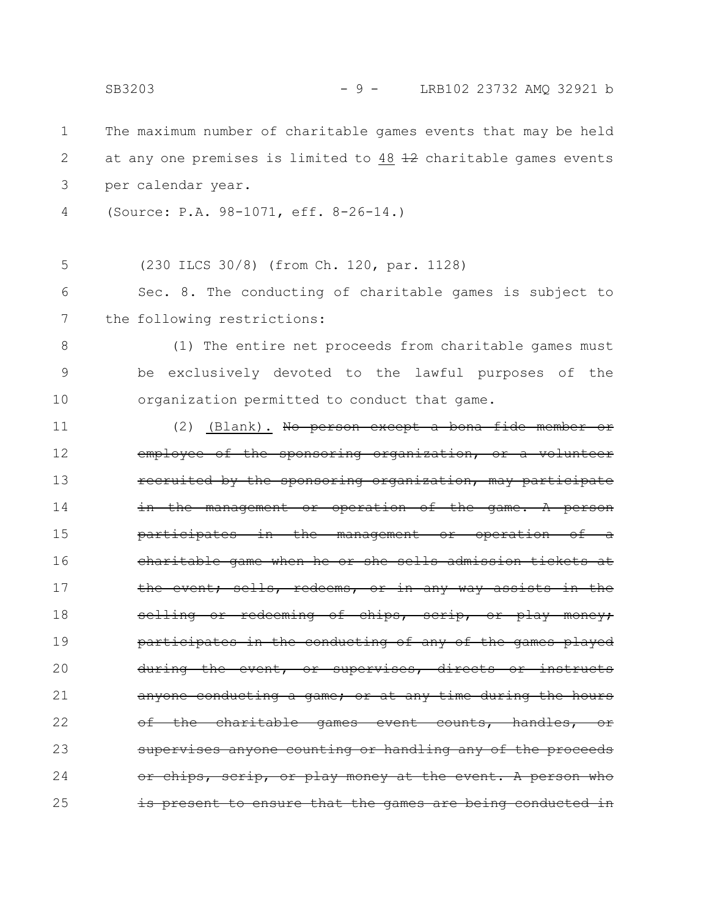The maximum number of charitable games events that may be held at any one premises is limited to  $48$   $\pm 2$  charitable games events per calendar year. (Source: P.A. 98-1071, eff. 8-26-14.) (230 ILCS 30/8) (from Ch. 120, par. 1128) Sec. 8. The conducting of charitable games is subject to the following restrictions: (1) The entire net proceeds from charitable games must be exclusively devoted to the lawful purposes of the organization permitted to conduct that game. (2) (Blank). No person except a bona fide member or employee of the sponsoring organization, or a volunteer recruited by the sponsoring organization, may participate in the management or operation of the game. A person participates in the management or operation charitable game when he or she sells admission tickets at the event; sells, redeems, or in any way assists in the selling or redeeming of chips, scrip, or play money; participates in the conducting of any of the games played during the event, or supervises, directs anyone conducting a game; or at any time during the hours charitable games event counts, handles, supervises anyone counting or handling any of the proceeds chips, scrip, or play money at the event. A person is present to ensure that the games are being conducted 1 2 3 4 5 6 7 8 9 10 11 12 13 14 15 16 17 18 19 20 21 22 23 24 25 SB3203 - 9 - LRB102 23732 AMO 32921 b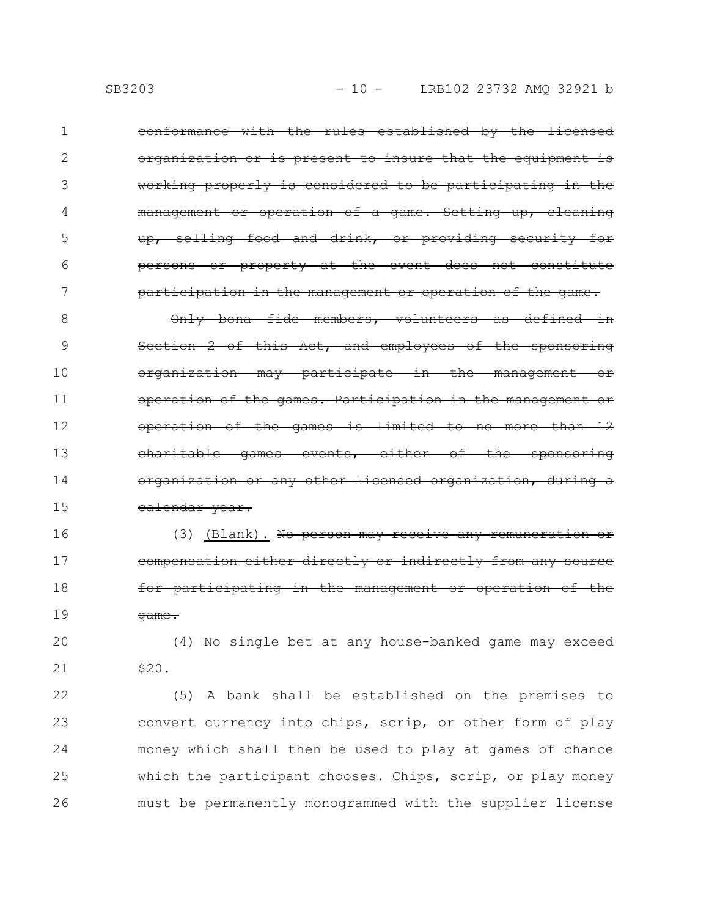conformance with the rules established by the licensed organization or is present to insure that the equipment is working properly is considered to be participating in the management or operation of a game. Setting up, cleaning up, selling food and drink, or providing security for persons or property at the event does not constitute participation in the management or operation of the game. 1 2 3 4 5 6 7

Only bona fide members, volunteers as defined in Section 2 of this Act, and employees of the sponsoring organization may participate in the management or operation of the games. Participation in the management or operation of the games is limited to no more than 12 charitable games events, either of the sponsoring organization or any other licensed organization, during a calendar year. 8 9 10 11 12 13 14 15

(3) (Blank). No person may receive any compensation either directly or indirectly from any source for participating in the management or operat game. 16 17 18 19

(4) No single bet at any house-banked game may exceed \$20. 20 21

(5) A bank shall be established on the premises to convert currency into chips, scrip, or other form of play money which shall then be used to play at games of chance which the participant chooses. Chips, scrip, or play money must be permanently monogrammed with the supplier license 22 23 24 25 26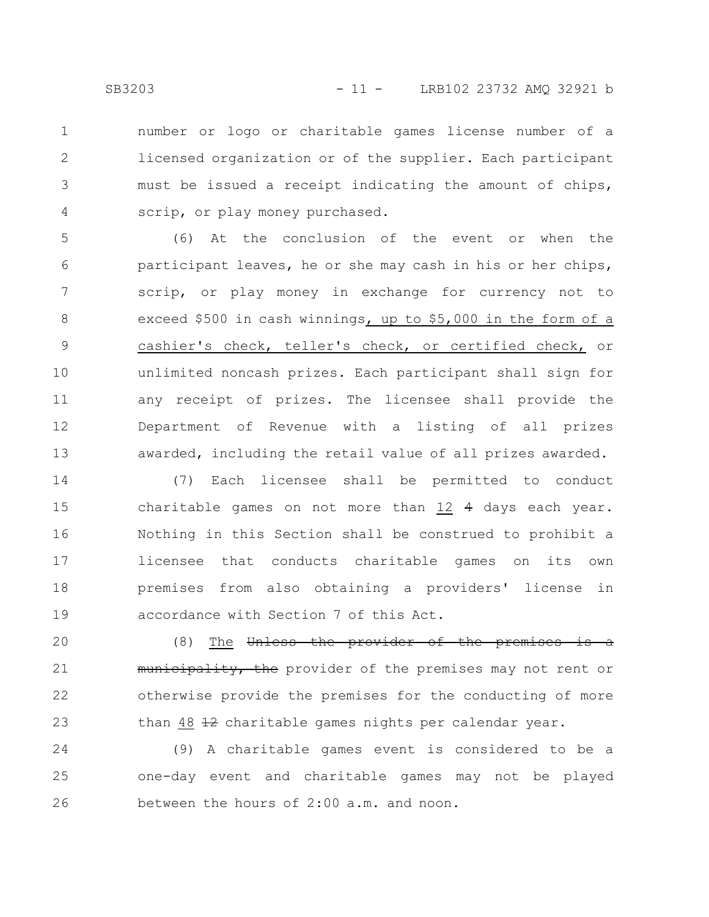number or logo or charitable games license number of a licensed organization or of the supplier. Each participant must be issued a receipt indicating the amount of chips, scrip, or play money purchased. 1 2 3 4

(6) At the conclusion of the event or when the participant leaves, he or she may cash in his or her chips, scrip, or play money in exchange for currency not to exceed \$500 in cash winnings, up to \$5,000 in the form of a cashier's check, teller's check, or certified check, or unlimited noncash prizes. Each participant shall sign for any receipt of prizes. The licensee shall provide the Department of Revenue with a listing of all prizes awarded, including the retail value of all prizes awarded. 5 6 7 8 9 10 11 12 13

(7) Each licensee shall be permitted to conduct charitable games on not more than 12 4 days each year. Nothing in this Section shall be construed to prohibit a licensee that conducts charitable games on its own premises from also obtaining a providers' license in accordance with Section 7 of this Act. 14 15 16 17 18 19

(8) The Unless the provider of the premises is a municipality, the provider of the premises may not rent or otherwise provide the premises for the conducting of more than 48 12 charitable games nights per calendar year. 20 21 22 23

(9) A charitable games event is considered to be a one-day event and charitable games may not be played between the hours of 2:00 a.m. and noon. 24 25 26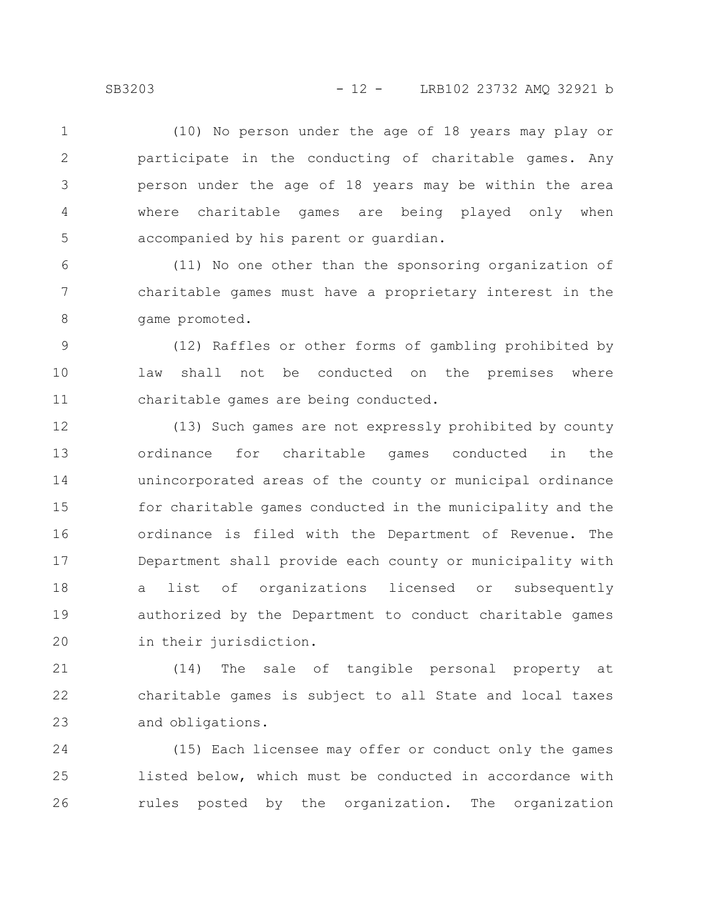(10) No person under the age of 18 years may play or participate in the conducting of charitable games. Any person under the age of 18 years may be within the area where charitable games are being played only when accompanied by his parent or guardian. 1 2 3 4 5

(11) No one other than the sponsoring organization of charitable games must have a proprietary interest in the game promoted. 6 7 8

(12) Raffles or other forms of gambling prohibited by law shall not be conducted on the premises where charitable games are being conducted. 9 10 11

(13) Such games are not expressly prohibited by county ordinance for charitable games conducted in the unincorporated areas of the county or municipal ordinance for charitable games conducted in the municipality and the ordinance is filed with the Department of Revenue. The Department shall provide each county or municipality with a list of organizations licensed or subsequently authorized by the Department to conduct charitable games in their jurisdiction. 12 13 14 15 16 17 18 19 20

(14) The sale of tangible personal property at charitable games is subject to all State and local taxes and obligations. 21 22 23

(15) Each licensee may offer or conduct only the games listed below, which must be conducted in accordance with rules posted by the organization. The organization 24 25 26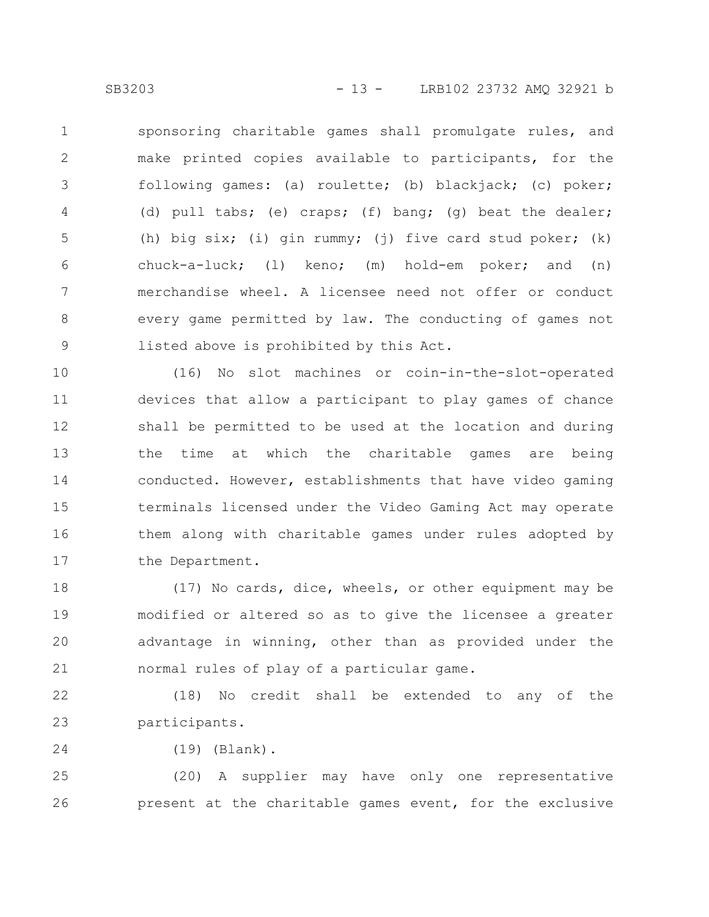sponsoring charitable games shall promulgate rules, and make printed copies available to participants, for the following games: (a) roulette; (b) blackjack; (c) poker; (d) pull tabs; (e) craps; (f) bang; (g) beat the dealer; (h) big six; (i) gin rummy; (j) five card stud poker; (k) chuck-a-luck; (l) keno; (m) hold-em poker; and (n) merchandise wheel. A licensee need not offer or conduct every game permitted by law. The conducting of games not listed above is prohibited by this Act. 1 2 3 4 5 6 7 8 9

(16) No slot machines or coin-in-the-slot-operated devices that allow a participant to play games of chance shall be permitted to be used at the location and during the time at which the charitable games are being conducted. However, establishments that have video gaming terminals licensed under the Video Gaming Act may operate them along with charitable games under rules adopted by the Department. 10 11 12 13 14 15 16 17

(17) No cards, dice, wheels, or other equipment may be modified or altered so as to give the licensee a greater advantage in winning, other than as provided under the normal rules of play of a particular game. 18 19 20 21

(18) No credit shall be extended to any of the participants. 22 23

(19) (Blank). 24

(20) A supplier may have only one representative present at the charitable games event, for the exclusive 25 26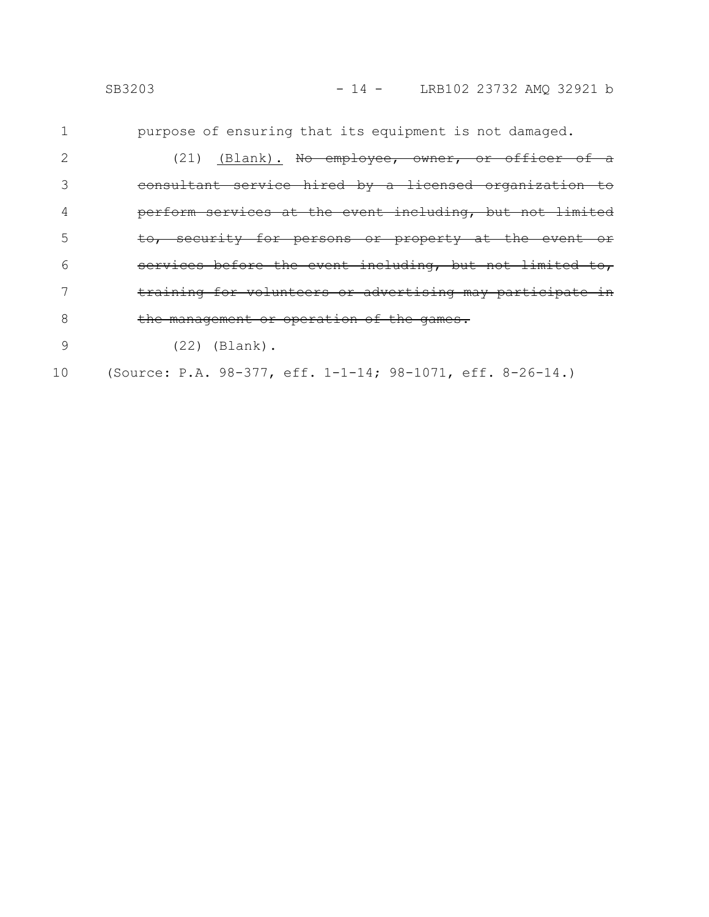|    | SB3203                                                     |  | $-14$ - LRB102 23732 AMQ 32921 b |  |
|----|------------------------------------------------------------|--|----------------------------------|--|
|    | purpose of ensuring that its equipment is not damaged.     |  |                                  |  |
|    | (21) (Blank). No employee, owner, or officer of a          |  |                                  |  |
|    | consultant service hired by a licensed organization to     |  |                                  |  |
| 4  | perform services at the event including, but not limited   |  |                                  |  |
| 5  | to, security for persons or property at the event or       |  |                                  |  |
| 6  | services before the event including, but not limited to,   |  |                                  |  |
|    | training for volunteers or advertising may participate in  |  |                                  |  |
| 8  | the management or operation of the games.                  |  |                                  |  |
| 9  | $(22)$ (Blank).                                            |  |                                  |  |
| 10 | (Source: P.A. 98-377, eff. 1-1-14; 98-1071, eff. 8-26-14.) |  |                                  |  |